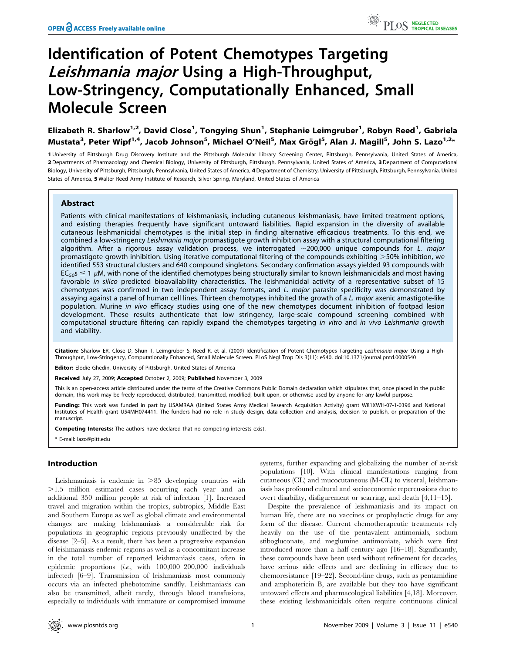# Identification of Potent Chemotypes Targeting Leishmania major Using a High-Throughput, Low-Stringency, Computationally Enhanced, Small Molecule Screen

Elizabeth R. Sharlow<sup>1,2</sup>, David Close<sup>1</sup>, Tongying Shun<sup>1</sup>, Stephanie Leimgruber<sup>1</sup>, Robyn Reed<sup>1</sup>, Gabriela Mustata<sup>3</sup>, Peter Wipf<sup>1,4</sup>, Jacob Johnson<sup>5</sup>, Michael O'Neil<sup>5</sup>, Max Grögl<sup>5</sup>, Alan J. Magill<sup>5</sup>, John S. Lazo<sup>1,2</sup>\*

1 University of Pittsburgh Drug Discovery Institute and the Pittsburgh Molecular Library Screening Center, Pittsburgh, Pennsylvania, United States of America, 2 Departments of Pharmacology and Chemical Biology, University of Pittsburgh, Pittsburgh, Pennsylvania, United States of America, 3Department of Computational Biology, University of Pittsburgh, Pittsburgh, Pennsylvania, United States of America, 4 Department of Chemistry, University of Pittsburgh, Pittsburgh, Pennsylvania, United States of America, 5 Walter Reed Army Institute of Research, Silver Spring, Maryland, United States of America

# Abstract

Patients with clinical manifestations of leishmaniasis, including cutaneous leishmaniasis, have limited treatment options, and existing therapies frequently have significant untoward liabilities. Rapid expansion in the diversity of available cutaneous leishmanicidal chemotypes is the initial step in finding alternative efficacious treatments. To this end, we combined a low-stringency Leishmania major promastigote growth inhibition assay with a structural computational filtering algorithm. After a rigorous assay validation process, we interrogated  $\sim$ 200,000 unique compounds for L. major promastigote growth inhibition. Using iterative computational filtering of the compounds exhibiting  $>$ 50% inhibition, we identified 553 structural clusters and 640 compound singletons. Secondary confirmation assays yielded 93 compounds with  $EC_{50}$   $\leq$  1  $\mu$ M, with none of the identified chemotypes being structurally similar to known leishmanicidals and most having favorable in silico predicted bioavailability characteristics. The leishmanicidal activity of a representative subset of 15 chemotypes was confirmed in two independent assay formats, and L. major parasite specificity was demonstrated by assaying against a panel of human cell lines. Thirteen chemotypes inhibited the growth of a L. major axenic amastigote-like population. Murine in vivo efficacy studies using one of the new chemotypes document inhibition of footpad lesion development. These results authenticate that low stringency, large-scale compound screening combined with computational structure filtering can rapidly expand the chemotypes targeting in vitro and in vivo Leishmania growth and viability.

Citation: Sharlow ER, Close D, Shun T, Leimgruber S, Reed R, et al. (2009) Identification of Potent Chemotypes Targeting Leishmania major Using a High-Throughput, Low-Stringency, Computationally Enhanced, Small Molecule Screen. PLoS Negl Trop Dis 3(11): e540. doi:10.1371/journal.pntd.0000540

Editor: Elodie Ghedin, University of Pittsburgh, United States of America

Received July 27, 2009; Accepted October 2, 2009; Published November 3, 2009

This is an open-access article distributed under the terms of the Creative Commons Public Domain declaration which stipulates that, once placed in the public domain, this work may be freely reproduced, distributed, transmitted, modified, built upon, or otherwise used by anyone for any lawful purpose.

Funding: This work was funded in part by USAMRAA (United States Army Medical Research Acquisition Activity) grant W81XWH-07-1-0396 and National Institutes of Health grant U54MH074411. The funders had no role in study design, data collection and analysis, decision to publish, or preparation of the manuscript.

Competing Interests: The authors have declared that no competing interests exist.

\* E-mail: lazo@pitt.edu

## Introduction

Leishmaniasis is endemic in  $>85$  developing countries with .1.5 million estimated cases occurring each year and an additional 350 million people at risk of infection [1]. Increased travel and migration within the tropics, subtropics, Middle East and Southern Europe as well as global climate and environmental changes are making leishmaniasis a considerable risk for populations in geographic regions previously unaffected by the disease [2–5]. As a result, there has been a progressive expansion of leishmaniasis endemic regions as well as a concomitant increase in the total number of reported leishmaniasis cases, often in epidemic proportions (i.e., with 100,000–200,000 individuals infected) [6–9]. Transmission of leishmaniasis most commonly occurs via an infected phebotomine sandfly. Leishmaniasis can also be transmitted, albeit rarely, through blood transfusions, especially to individuals with immature or compromised immune

systems, further expanding and globalizing the number of at-risk populations [10]. With clinical manifestations ranging from cutaneous (CL) and mucocutaneous (M-CL) to visceral, leishmaniasis has profound cultural and socioeconomic repercussions due to overt disability, disfigurement or scarring, and death [4,11–15].

Despite the prevalence of leishmaniasis and its impact on human life, there are no vaccines or prophylactic drugs for any form of the disease. Current chemotherapeutic treatments rely heavily on the use of the pentavalent antimonials, sodium stibogluconate, and meglumine antimoniate, which were first introduced more than a half century ago [16–18]. Significantly, these compounds have been used without refinement for decades, have serious side effects and are declining in efficacy due to chemoresistance [19–22]. Second-line drugs, such as pentamidine and amphotericin B, are available but they too have significant untoward effects and pharmacological liabilities [4,18]. Moreover, these existing leishmanicidals often require continuous clinical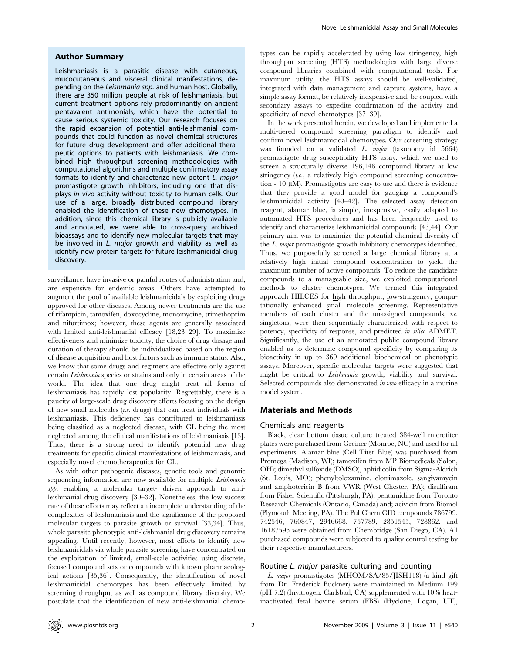#### Author Summary

Leishmaniasis is a parasitic disease with cutaneous, mucocutaneous and visceral clinical manifestations, depending on the Leishmania spp. and human host. Globally, there are 350 million people at risk of leishmaniasis, but current treatment options rely predominantly on ancient pentavalent antimonials, which have the potential to cause serious systemic toxicity. Our research focuses on the rapid expansion of potential anti-leishmanial compounds that could function as novel chemical structures for future drug development and offer additional therapeutic options to patients with leishmaniasis. We combined high throughput screening methodologies with computational algorithms and multiple confirmatory assay formats to identify and characterize new potent L. major promastigote growth inhibitors, including one that displays in vivo activity without toxicity to human cells. Our use of a large, broadly distributed compound library enabled the identification of these new chemotypes. In addition, since this chemical library is publicly available and annotated, we were able to cross-query archived bioassays and to identify new molecular targets that may be involved in L. major growth and viability as well as identify new protein targets for future leishmanicidal drug discovery.

surveillance, have invasive or painful routes of administration and, are expensive for endemic areas. Others have attempted to augment the pool of available leishmanicidals by exploiting drugs approved for other diseases. Among newer treatments are the use of rifampicin, tamoxifen, doxocycline, monomycine, trimethoprim and nifurtimox; however, these agents are generally associated with limited anti-leishmanial efficacy [18,23–29]. To maximize effectiveness and minimize toxicity, the choice of drug dosage and duration of therapy should be individualized based on the region of disease acquisition and host factors such as immune status. Also, we know that some drugs and regimens are effective only against certain Leishmania species or strains and only in certain areas of the world. The idea that one drug might treat all forms of leishmaniasis has rapidly lost popularity. Regrettably, there is a paucity of large-scale drug discovery efforts focusing on the design of new small molecules (i.e. drugs) that can treat individuals with leishmaniasis. This deficiency has contributed to leishmaniasis being classified as a neglected disease, with CL being the most neglected among the clinical manifestations of leishmaniasis [13]. Thus, there is a strong need to identify potential new drug treatments for specific clinical manifestations of leishmaniasis, and especially novel chemotherapeutics for CL.

As with other pathogenic diseases, genetic tools and genomic sequencing information are now available for multiple *Leishmania* spp. enabling a molecular target- driven approach to antileishmanial drug discovery [30–32]. Nonetheless, the low success rate of those efforts may reflect an incomplete understanding of the complexities of leishmaniasis and the significance of the proposed molecular targets to parasite growth or survival [33,34]. Thus, whole parasite phenotypic anti-leishmanial drug discovery remains appealing. Until recently, however, most efforts to identify new leishmanicidals via whole parasite screening have concentrated on the exploitation of limited, small-scale activities using discrete, focused compound sets or compounds with known pharmacological actions [35,36]. Consequently, the identification of novel leishmanicidal chemotypes has been effectively limited by screening throughput as well as compound library diversity. We postulate that the identification of new anti-leishmanial chemotypes can be rapidly accelerated by using low stringency, high throughput screening (HTS) methodologies with large diverse compound libraries combined with computational tools. For maximum utility, the HTS assays should be well-validated, integrated with data management and capture systems, have a simple assay format, be relatively inexpensive and, be coupled with secondary assays to expedite confirmation of the activity and specificity of novel chemotypes [37–39].

In the work presented herein, we developed and implemented a multi-tiered compound screening paradigm to identify and confirm novel leishmanicidal chemotypes. Our screening strategy was founded on a validated L. major (taxonomy id 5664) promastigote drug susceptibility HTS assay, which we used to screen a structurally diverse 196,146 compound library at low stringency (i.e., a relatively high compound screening concentration  $-10 \mu M$ ). Promastigotes are easy to use and there is evidence that they provide a good model for gauging a compound's leishmanicidal activity [40–42]. The selected assay detection reagent, alamar blue, is simple, inexpensive, easily adapted to automated HTS procedures and has been frequently used to identify and characterize leishmanicidal compounds [43,44]. Our primary aim was to maximize the potential chemical diversity of the L. major promastigote growth inhibitory chemotypes identified. Thus, we purposefully screened a large chemical library at a relatively high initial compound concentration to yield the maximum number of active compounds. To reduce the candidate compounds to a manageable size, we exploited computational methods to cluster chemotypes. We termed this integrated approach HILCES for high throughput, low-stringency, computationally enhanced small molecule screening. Representative members of each cluster and the unassigned compounds, i.e. singletons, were then sequentially characterized with respect to potency, specificity of response, and predicted in silico ADMET. Significantly, the use of an annotated public compound library enabled us to determine compound specificity by comparing its bioactivity in up to 369 additional biochemical or phenotypic assays. Moreover, specific molecular targets were suggested that might be critical to Leishmania growth, viability and survival. Selected compounds also demonstrated in vivo efficacy in a murine model system.

## Materials and Methods

#### Chemicals and reagents

Black, clear bottom tissue culture treated 384-well microtiter plates were purchased from Greiner (Monroe, NC) and used for all experiments. Alamar blue (Cell Titer Blue) was purchased from Promega (Madison, WI); tamoxifen from MP Biomedicals (Solon, OH); dimethyl sulfoxide (DMSO), aphidicolin from Sigma-Aldrich (St. Louis, MO); phenyltoloxamine, clotrimazole, sangivamycin and amphotericin B from VWR (West Chester, PA); disulfiram from Fisher Scientific (Pittsburgh, PA); pentamidine from Toronto Research Chemicals (Ontario, Canada) and; acivicin from Biomol (Plymouth Meeting, PA). The PubChem CID compounds 786799, 742546, 760847, 2946668, 757789, 2851545, 728862, and 16187595 were obtained from Chembridge (San Diego, CA). All purchased compounds were subjected to quality control testing by their respective manufacturers.

## Routine L. major parasite culturing and counting

L. major promastigotes (MHOM/SA/85/JISH118) (a kind gift from Dr. Frederick Buckner) were maintained in Medium 199 (pH 7.2) (Invitrogen, Carlsbad, CA) supplemented with 10% heatinactivated fetal bovine serum (FBS) (Hyclone, Logan, UT),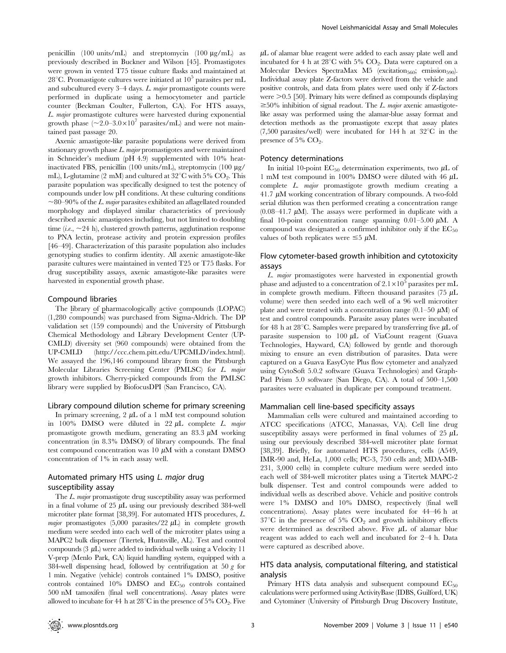penicillin (100 units/mL) and streptomycin (100  $\mu$ g/mL) as previously described in Buckner and Wilson [45]. Promastigotes were grown in vented T75 tissue culture flasks and maintained at 28<sup>°</sup>C. Promastigote cultures were initiated at  $10^5$  parasites per mL and subcultured every 3–4 days. L. major promastigote counts were performed in duplicate using a hemocytometer and particle counter (Beckman Coulter, Fullerton, CA). For HTS assays, L. major promastigote cultures were harvested during exponential growth phase  $(\sim 2.0-3.0 \times 10^7 \text{ parasites/mL})$  and were not maintained past passage 20.

Axenic amastigote-like parasite populations were derived from stationary growth phase L. major promastigotes and were maintained in Schneider's medium (pH 4.9) supplemented with 10% heatinactivated FBS, penicillin (100 units/mL), streptomycin (100  $\mu$ g/ mL), L-glutamine (2 mM) and cultured at  $32^{\circ}$ C with 5% CO<sub>2</sub>. This parasite population was specifically designed to test the potency of compounds under low pH conditions. At these culturing conditions  $\sim$ 80–90% of the *L. major* parasites exhibited an aflagellated rounded morphology and displayed similar characteristics of previously described axenic amastigotes including, but not limited to doubling time (*i.e.*,  $\sim$  24 h), clustered growth patterns, agglutination response to PNA lectin, protease activity and protein expression profiles [46–49]. Characterization of this parasite population also includes genotyping studies to confirm identity. All axenic amastigote-like parasite cultures were maintained in vented T25 or T75 flasks. For drug susceptibility assays, axenic amastigote-like parasites were harvested in exponential growth phase.

#### Compound libraries

The library of pharmacologically active compounds (LOPAC) (1,280 compounds) was purchased from Sigma-Aldrich. The DP validation set (159 compounds) and the University of Pittsburgh Chemical Methodology and Library Development Center (UP-CMLD) diversity set (960 compounds) were obtained from the UP-CMLD (http://ccc.chem.pitt.edu/UPCMLD/index.html). We assayed the 196,146 compound library from the Pittsburgh Molecular Libraries Screening Center (PMLSC) for L. major growth inhibitors. Cherry-picked compounds from the PMLSC library were supplied by BiofocusDPI (San Francisco, CA).

#### Library compound dilution scheme for primary screening

In primary screening,  $2 \mu L$  of a 1 mM test compound solution in 100% DMSO were diluted in 22  $\mu$ L complete *L. major* promastigote growth medium, generating an 83.3  $\mu$ M working concentration (in 8.3% DMSO) of library compounds. The final test compound concentration was  $10 \mu M$  with a constant DMSO concentration of 1% in each assay well.

# Automated primary HTS using L. major drug susceptibility assay

The L. major promastigote drug susceptibility assay was performed in a final volume of  $25 \mu L$  using our previously described 384-well microtiter plate format [38,39]. For automated HTS procedures, L. major promastigotes (5,000 parasites/22  $\mu$ L) in complete growth medium were seeded into each well of the microtiter plates using a MAPC2 bulk dispenser (Titertek, Huntsville, AL). Test and control compounds  $(3 \mu L)$  were added to individual wells using a Velocity 11 V-prep (Menlo Park, CA) liquid handling system, equipped with a 384-well dispensing head, followed by centrifugation at 50  $g$  for 1 min. Negative (vehicle) controls contained 1% DMSO, positive controls contained 10% DMSO and EC<sub>50</sub> controls contained 500 nM tamoxifen (final well concentrations). Assay plates were allowed to incubate for 44 h at  $28^{\circ}$ C in the presence of 5% CO<sub>2</sub>. Five

 $\mu$ L of alamar blue reagent were added to each assay plate well and incubated for 4 h at  $28^{\circ}$ C with 5% CO<sub>2</sub>. Data were captured on a Molecular Devices SpectraMax M5 (excitation $_{560}$ ; emission $_{590}$ ). Individual assay plate Z-factors were derived from the vehicle and positive controls, and data from plates were used only if Z-factors were  $\geq$  0.5 [50]. Primary hits were defined as compounds displaying  $\geq 50\%$  inhibition of signal readout. The L. major axenic amastigotelike assay was performed using the alamar-blue assay format and detection methods as the promastigote except that assay plates  $(7,500 \text{ parasites/well})$  were incubated for 144 h at  $32^{\circ}$ C in the presence of 5% CO<sub>2</sub>.

#### Potency determinations

In initial 10-point  $EC_{50}$  determination experiments, two  $\mu L$  of 1 mM test compound in 100% DMSO were diluted with 46  $\mu$ L complete L. major promastigote growth medium creating a 41.7  $\mu$ M working concentration of library compounds. A two-fold serial dilution was then performed creating a concentration range  $(0.08-41.7 \mu M)$ . The assays were performed in duplicate with a final 10-point concentration range spanning  $0.01-5.00 \mu M$ . A compound was designated a confirmed inhibitor only if the  $EC_{50}$ values of both replicates were  $\leq 5 \mu M$ .

## Flow cytometer-based growth inhibition and cytotoxicity assays

L. major promastigotes were harvested in exponential growth phase and adjusted to a concentration of  $2.1 \times 10^5$  parasites per mL in complete growth medium. Fifteen thousand parasites  $(75 \mu L)$ volume) were then seeded into each well of a 96 well microtiter plate and were treated with a concentration range  $(0.1–50 \mu M)$  of test and control compounds. Parasite assay plates were incubated for 48 h at 28<sup>°</sup>C. Samples were prepared by transferring five  $\mu$ L of parasite suspension to  $100 \mu L$  of ViaCount reagent (Guava Technologies, Hayward, CA) followed by gentle and thorough mixing to ensure an even distribution of parasites. Data were captured on a Guava EasyCyte Plus flow cytometer and analyzed using CytoSoft 5.0.2 software (Guava Technologies) and Graph-Pad Prism 5.0 software (San Diego, CA). A total of 500–1,500 parasites were evaluated in duplicate per compound treatment.

#### Mammalian cell line-based specificity assays

Mammalian cells were cultured and maintained according to ATCC specifications (ATCC, Manassas, VA). Cell line drug susceptibility assays were performed in final volumes of  $25 \mu L$ using our previously described 384-well microtiter plate format [38,39]. Briefly, for automated HTS procedures, cells (A549, IMR-90 and, HeLa, 1,000 cells; PC-3, 750 cells and; MDA-MB-231, 3,000 cells) in complete culture medium were seeded into each well of 384-well microtiter plates using a Titertek MAPC-2 bulk dispenser. Test and control compounds were added to individual wells as described above. Vehicle and positive controls were 1% DMSO and 10% DMSO, respectively (final well concentrations). Assay plates were incubated for 44–46 h at  $37^{\circ}$ C in the presence of 5% CO<sub>2</sub> and growth inhibitory effects were determined as described above. Five  $\mu$ L of alamar blue reagent was added to each well and incubated for 2–4 h. Data were captured as described above.

## HTS data analysis, computational filtering, and statistical analysis

Primary HTS data analysis and subsequent compound  $EC_{50}$ calculations were performed using ActivityBase (IDBS, Guilford, UK) and Cytominer (University of Pittsburgh Drug Discovery Institute,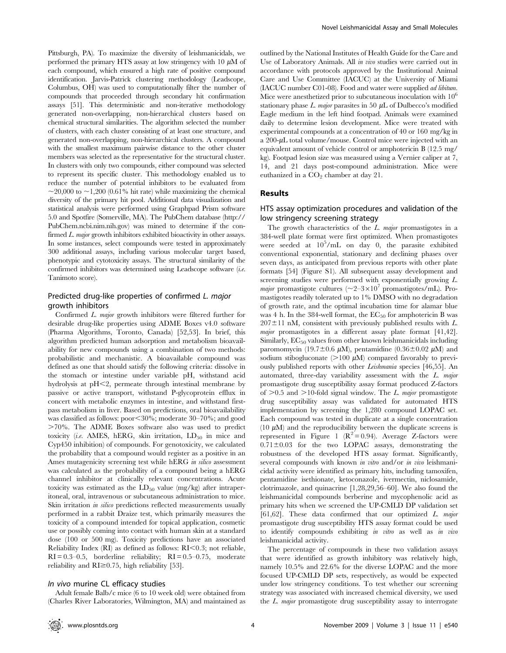Pittsburgh, PA). To maximize the diversity of leishmanicidals, we performed the primary HTS assay at low stringency with 10  $\mu$ M of each compound, which ensured a high rate of positive compound identification. Jarvis-Patrick clustering methodology (Leadscope, Columbus, OH) was used to computationally filter the number of compounds that proceeded through secondary hit confirmation assays [51]. This deterministic and non-iterative methodology generated non-overlapping, non-hierarchical clusters based on chemical structural similarities. The algorithm selected the number of clusters, with each cluster consisting of at least one structure, and generated non-overlapping, non-hierarchical clusters. A compound with the smallest maximum pairwise distance to the other cluster members was selected as the representative for the structural cluster. In clusters with only two compounds, either compound was selected to represent its specific cluster. This methodology enabled us to reduce the number of potential inhibitors to be evaluated from  $\sim$ 20,000 to  $\sim$ 1,200 (0.61% hit rate) while maximizing the chemical diversity of the primary hit pool. Additional data visualization and statistical analysis were performed using Graphpad Prism software 5.0 and Spotfire (Somerville, MA). The PubChem database (http:// PubChem.ncbi.nim.nih.gov) was mined to determine if the confirmed L. major growth inhibitors exhibited bioactivity in other assays. In some instances, select compounds were tested in approximately 300 additional assays, including various molecular target based, phenotypic and cytotoxicity assays. The structural similarity of the confirmed inhibitors was determined using Leadscope software (i.e. Tanimoto score).

# Predicted drug-like properties of confirmed L. major growth inhibitors

Confirmed L. major growth inhibitors were filtered further for desirable drug-like properties using ADME Boxes v4.0 software (Pharma Algorithms, Toronto, Canada) [52,53]. In brief, this algorithm predicted human adsorption and metabolism bioavailability for new compounds using a combination of two methods: probabilistic and mechanistic. A bioavailable compound was defined as one that should satisfy the following criteria: dissolve in the stomach or intestine under variable pH, withstand acid hydrolysis at  $pH \leq 2$ , permeate through intestinal membrane by passive or active transport, withstand P-glycoprotein efflux in concert with metabolic enzymes in intestine, and withstand firstpass metabolism in liver. Based on predictions, oral bioavailability was classified as follows:  $poor < 30\%$ ; moderate  $30-70\%$ ; and good .70%. The ADME Boxes software also was used to predict toxicity (i.e. AMES, hERG, skin irritation,  $LD_{50}$  in mice and Cyp450 inhibition) of compounds. For genotoxicity, we calculated the probability that a compound would register as a positive in an Ames mutagenicity screening test while hERG in silico assessment was calculated as the probability of a compound being a hERG channel inhibitor at clinically relevant concentrations. Acute toxicity was estimated as the  $LD_{50}$  value (mg/kg) after intraperitoneal, oral, intravenous or subcutaneous administration to mice. Skin irritation *in silico* predictions reflected measurements usually performed in a rabbit Draize test, which primarily measures the toxicity of a compound intended for topical application, cosmetic use or possibly coming into contact with human skin at a standard dose (100 or 500 mg). Toxicity predictions have an associated Reliability Index (RI) as defined as follows:  $RI<0.3$ ; not reliable,  $RI = 0.3-0.5$ , borderline reliability;  $RI = 0.5-0.75$ , moderate reliability and  $RI \geq 0.75$ , high reliability [53].

## In vivo murine CL efficacy studies

Adult female Balb/c mice (6 to 10 week old) were obtained from (Charles River Laboratories, Wilmington, MA) and maintained as

outlined by the National Institutes of Health Guide for the Care and Use of Laboratory Animals. All in vivo studies were carried out in accordance with protocols approved by the Institutional Animal Care and Use Committee (IACUC) at the University of Miami (IACUC number C01-08). Food and water were supplied ad libitum. Mice were anesthetized prior to subcutaneous inoculation with  $10<sup>6</sup>$ stationary phase L. major parasites in 50  $\mu$ L of Dulbecco's modified Eagle medium in the left hind footpad. Animals were examined daily to determine lesion development. Mice were treated with experimental compounds at a concentration of 40 or 160 mg/kg in a  $200$ - $\mu$ L total volume/mouse. Control mice were injected with an equivalent amount of vehicle control or amphotericin B (12.5 mg/ kg). Footpad lesion size was measured using a Vernier caliper at 7, 14, and 21 days post-compound administration. Mice were euthanized in a  $CO<sub>2</sub>$  chamber at day 21.

# Results

## HTS assay optimization procedures and validation of the low stringency screening strategy

The growth characteristics of the  $L$ . major promastigotes in a 384-well plate format were first optimized. When promastigotes were seeded at  $10^5$ /mL on day 0, the parasite exhibited conventional exponential, stationary and declining phases over seven days, as anticipated from previous reports with other plate formats [54] (Figure S1). All subsequent assay development and screening studies were performed with exponentially growing  $L$ . *major* promastigote cultures  $(\sim 2-3 \times 10^7 \text{ promastigotes/mL})$ . Promastigotes readily tolerated up to 1% DMSO with no degradation of growth rate, and the optimal incubation time for alamar blue was 4 h. In the 384-well format, the  $EC_{50}$  for amphotericin B was  $207 \pm 11$  nM, consistent with previously published results with L. major promastigotes in a different assay plate format [41,42]. Similarly,  $EC_{50}$  values from other known leishmanicidals including paromomycin (19.7 $\pm$ 0.6  $\mu$ M), pentamidine (0.36 $\pm$ 0.02  $\mu$ M) and sodium stibogluconate  $(>100 \mu M)$  compared favorably to previously published reports with other Leishmania species [46,55]. An automated, three-day variability assessment with the L. major promastigote drug susceptibility assay format produced Z-factors of  $>0.5$  and  $>10$ -fold signal window. The L. major promastigote drug susceptibility assay was validated for automated HTS implementation by screening the 1,280 compound LOPAC set. Each compound was tested in duplicate at a single concentration (10  $\mu$ M) and the reproducibility between the duplicate screens is represented in Figure 1 ( $\mathbb{R}^2 = 0.94$ ). Average Z-factors were  $0.71 \pm 0.03$  for the two LOPAC assays, demonstrating the robustness of the developed HTS assay format. Significantly, several compounds with known in vitro and/or in vivo leishmanicidal activity were identified as primary hits, including tamoxifen, pentamidine isethionate, ketoconazole, ivermectin, niclosamide, clotrimazole, and quinacrine [1,28,29,56–60]. We also found the leishmanicidal compounds berberine and mycophenolic acid as primary hits when we screened the UP-CMLD DP validation set [61,62]. These data confirmed that our optimized L. major promastigote drug susceptibility HTS assay format could be used to identify compounds exhibiting in vitro as well as in vivo leishmanicidal activity.

The percentage of compounds in these two validation assays that were identified as growth inhibitory was relatively high, namely 10.5% and 22.6% for the diverse LOPAC and the more focused UP-CMLD DP sets, respectively, as would be expected under low stringency conditions. To test whether our screening strategy was associated with increased chemical diversity, we used the L. major promastigote drug susceptibility assay to interrogate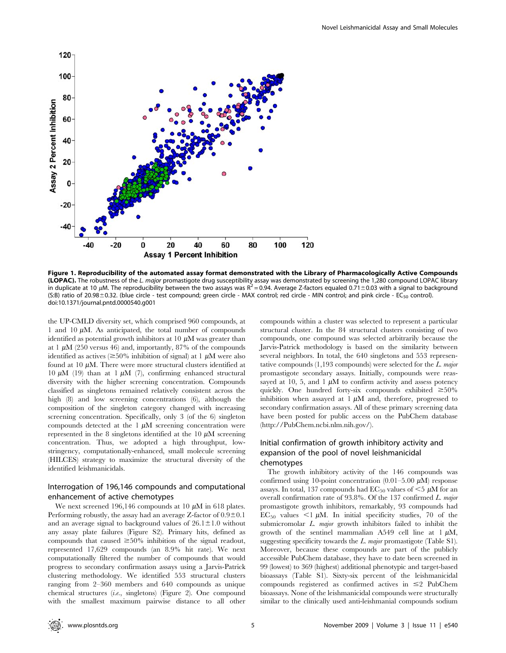

Figure 1. Reproducibility of the automated assay format demonstrated with the Library of Pharmacologically Active Compounds (LOPAC). The robustness of the L. major promastigote drug susceptibility assay was demonstrated by screening the 1,280 compound LOPAC library in duplicate at 10  $\mu$ M. The reproducibility between the two assays was R<sup>2</sup> = 0.94. Average Z-factors equaled 0.71±0.03 with a signal to background (S:B) ratio of 20.98±0.32. (blue circle - test compound; green circle - MAX control; red circle - MIN control; and pink circle - EC<sub>50</sub> control). doi:10.1371/journal.pntd.0000540.g001

the UP-CMLD diversity set, which comprised 960 compounds, at 1 and 10  $\mu$ M. As anticipated, the total number of compounds identified as potential growth inhibitors at  $10 \mu$ M was greater than at 1  $\mu$ M (250 versus 46) and, importantly, 87% of the compounds identified as actives ( $\geq$ 50% inhibition of signal) at 1  $\mu$ M were also found at 10  $\mu$ M. There were more structural clusters identified at 10  $\mu$ M (19) than at 1  $\mu$ M (7), confirming enhanced structural diversity with the higher screening concentration. Compounds classified as singletons remained relatively consistent across the high (8) and low screening concentrations (6), although the composition of the singleton category changed with increasing screening concentration. Specifically, only 3 (of the 6) singleton compounds detected at the  $1 \mu M$  screening concentration were represented in the 8 singletons identified at the 10  $\mu$ M screening concentration. Thus, we adopted a high throughput, lowstringency, computationally-enhanced, small molecule screening (HILCES) strategy to maximize the structural diversity of the identified leishmanicidals.

# Interrogation of 196,146 compounds and computational enhancement of active chemotypes

We next screened 196,146 compounds at 10  $\mu$ M in 618 plates. Performing robustly, the assay had an average Z-factor of  $0.9\pm0.1$ and an average signal to background values of  $26.1 \pm 1.0$  without any assay plate failures (Figure S2). Primary hits, defined as compounds that caused  $\geq 50\%$  inhibition of the signal readout, represented 17,629 compounds (an 8.9% hit rate). We next computationally filtered the number of compounds that would progress to secondary confirmation assays using a Jarvis-Patrick clustering methodology. We identified 553 structural clusters ranging from 2–360 members and 640 compounds as unique chemical structures (i.e., singletons) (Figure 2). One compound with the smallest maximum pairwise distance to all other compounds within a cluster was selected to represent a particular structural cluster. In the 84 structural clusters consisting of two compounds, one compound was selected arbitrarily because the Jarvis-Patrick methodology is based on the similarity between several neighbors. In total, the 640 singletons and 553 representative compounds (1,193 compounds) were selected for the L. major promastigote secondary assays. Initially, compounds were reassayed at 10, 5, and 1  $\mu$ M to confirm activity and assess potency quickly. One hundred forty-six compounds exhibited  $\geq 50\%$ inhibition when assayed at  $1 \mu M$  and, therefore, progressed to secondary confirmation assays. All of these primary screening data have been posted for public access on the PubChem database (http://PubChem.ncbi.nlm.nih.gov/).

# Initial confirmation of growth inhibitory activity and expansion of the pool of novel leishmanicidal chemotypes

The growth inhibitory activity of the 146 compounds was confirmed using 10-point concentration  $(0.01-5.00 \mu M)$  response assays. In total, 137 compounds had  $EC_{50}$  values of  $\leq$ 5  $\mu$ M for an overall confirmation rate of 93.8%. Of the 137 confirmed L. major promastigote growth inhibitors, remarkably, 93 compounds had  $EC_{50}$  values  $\leq 1 \mu M$ . In initial specificity studies, 70 of the submicromolar L. major growth inhibitors failed to inhibit the growth of the sentinel mammalian A549 cell line at  $1 \mu M$ , suggesting specificity towards the  $L$ . major promastigote (Table S1). Moreover, because these compounds are part of the publicly accessible PubChem database, they have to date been screened in 99 (lowest) to 369 (highest) additional phenotypic and target-based bioassays (Table S1). Sixty-six percent of the leishmanicidal compounds registered as confirmed actives in  $\leq$  PubChem bioassays. None of the leishmanicidal compounds were structurally similar to the clinically used anti-leishmanial compounds sodium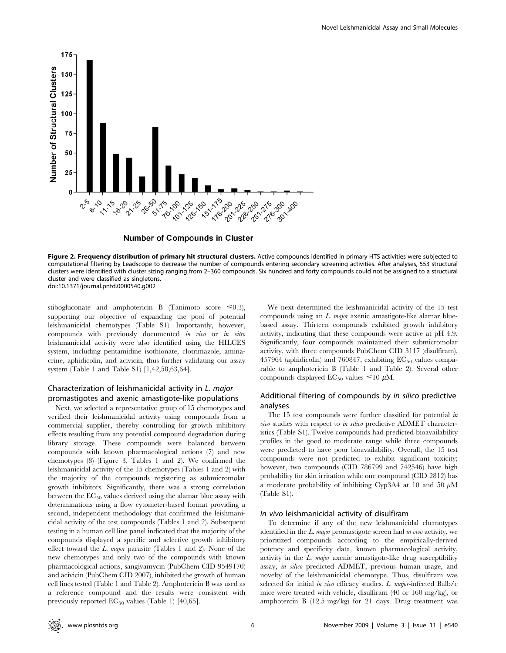

## **Number of Compounds in Cluster**

Figure 2. Frequency distribution of primary hit structural clusters. Active compounds identified in primary HTS activities were subjected to computational filtering by Leadscope to decrease the number of compounds entering secondary screening activities. After analyses, 553 structural clusters were identified with cluster sizing ranging from 2–360 compounds. Six hundred and forty compounds could not be assigned to a structural cluster and were classified as singletons. doi:10.1371/journal.pntd.0000540.g002

stibogluconate and amphotericin B (Tanimoto score  $\leq 0.3$ ), supporting our objective of expanding the pool of potential leishmanicidal chemotypes (Table S1). Importantly, however, compounds with previously documented in vivo or in vitro leishmanicidal activity were also identified using the HILCES system, including pentamidine isothionate, clotrimazole, aminacrine, aphidicolin, and acivicin, thus further validating our assay system (Table 1 and Table S1) [1,42,58,63,64].

# Characterization of leishmanicidal activity in L. major promastigotes and axenic amastigote-like populations

Next, we selected a representative group of 15 chemotypes and verified their leishmanicidal activity using compounds from a commercial supplier, thereby controlling for growth inhibitory effects resulting from any potential compound degradation during library storage. These compounds were balanced between compounds with known pharmacological actions (7) and new chemotypes (8) (Figure 3, Tables 1 and 2). We confirmed the leishmanicidal activity of the 15 chemotypes (Tables 1 and 2) with the majority of the compounds registering as submicromolar growth inhibitors. Significantly, there was a strong correlation between the  $EC_{50}$  values derived using the alamar blue assay with determinations using a flow cytometer-based format providing a second, independent methodology that confirmed the leishmanicidal activity of the test compounds (Tables 1 and 2). Subsequent testing in a human cell line panel indicated that the majority of the compounds displayed a specific and selective growth inhibitory effect toward the L. major parasite (Tables 1 and 2). None of the new chemotypes and only two of the compounds with known pharmacological actions, sangivamycin (PubChem CID 9549170) and acivicin (PubChem CID 2007), inhibited the growth of human cell lines tested (Table 1 and Table 2). Amphotericin B was used as a reference compound and the results were consistent with previously reported  $EC_{50}$  values (Table 1) [40,65].

We next determined the leishmanicidal activity of the 15 test compounds using an  $L$ . *major* axenic amastigote-like alamar bluebased assay. Thirteen compounds exhibited growth inhibitory activity, indicating that these compounds were active at pH 4.9. Significantly, four compounds maintained their submicromolar activity, with three compounds PubChem CID 3117 (disulfiram), 457964 (aphidicolin) and 760847, exhibiting  $EC_{50}$  values comparable to amphotericin B (Table 1 and Table 2). Several other compounds displayed  $EC_{50}$  values  $\leq 10 \mu M$ .

# Additional filtering of compounds by in silico predictive analyses

The 15 test compounds were further classified for potential in vivo studies with respect to in silico predictive ADMET characteristics (Table S1). Twelve compounds had predicted bioavailability profiles in the good to moderate range while three compounds were predicted to have poor bioavailability. Overall, the 15 test compounds were not predicted to exhibit significant toxicity; however, two compounds (CID 786799 and 742546) have high probability for skin irritation while one compound (CID 2812) has a moderate probability of inhibiting Cyp3A4 at 10 and 50  $\mu$ M (Table S1).

## In vivo leishmanicidal activity of disulfiram

To determine if any of the new leishmanicidal chemotypes identified in the L. major promastigote screen had in vivo activity, we prioritized compounds according to the empirically-derived potency and specificity data, known pharmacological activity, activity in the  $L.$  major axenic amastigote-like drug susceptibility assay, in silico predicted ADMET, previous human usage, and novelty of the leishmanicidal chemotype. Thus, disulfiram was selected for initial in vivo efficacy studies. L. major-infected Balb/c mice were treated with vehicle, disulfiram (40 or 160 mg/kg), or amphotercin B (12.5 mg/kg) for 21 days. Drug treatment was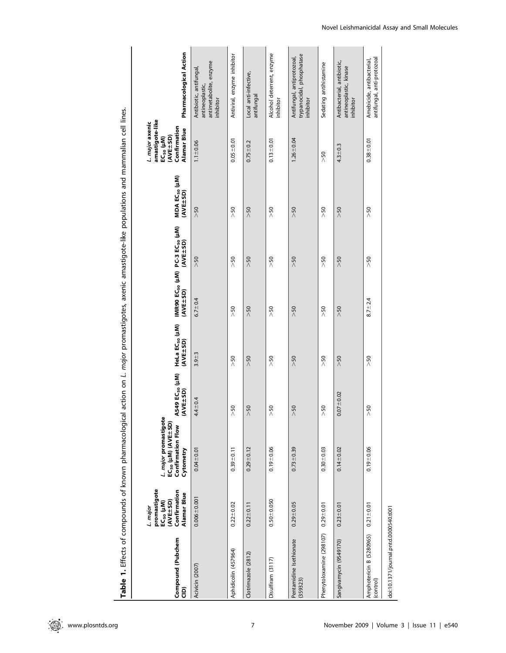| ֦֧֦֧֦֦֦֦֧֦֧֦֧֦֩֘֝֝֝֘֝׆֧֧֜<br>֧֜֜֞                         |
|-----------------------------------------------------------|
|                                                           |
| S                                                         |
|                                                           |
|                                                           |
| יין באקרא הארגא הארגי הארגון האירופי הא<br>$\overline{a}$ |
|                                                           |
| j                                                         |
| i                                                         |
| <b>Section</b><br>١                                       |
| l                                                         |
|                                                           |
| בית הוח ו והתחומי ז                                       |
|                                                           |
|                                                           |
| $\frac{1}{6}$                                             |
|                                                           |
| יים המה                                                   |
| $\frac{1}{3}$<br>j                                        |
|                                                           |
|                                                           |
| j                                                         |
|                                                           |
|                                                           |
| $\overline{\phantom{a}}$                                  |

| Compound (Pubchem<br>ê                | promastigote<br>Confirmation<br>Alamar Blue<br>(AVE±SD)<br>EC <sub>50</sub> (µM)<br>L. major | <i>L. major</i> promastigote<br>$EC_{50}$ ( $\mu$ M) (AVE $\pm$ SD)<br>Confirmation Flow<br>Cytometry | A549 EC <sub>50</sub> (µM)<br>(AVE+SD) | HeLa EC <sub>50</sub> (µM)<br>(AVE±SD) | (AVE+SD)      | IMR90 EC <sub>50</sub> (µM) PC-3 EC <sub>50</sub> (µM)<br>(AVE+SD) | MDA EC <sub>50</sub> (µM)<br>(AVE-SD) | amastigote-like<br>L. major axenic<br>Confirmation<br>Alamar Blue<br>(AVE+SD)<br>EC <sub>50</sub> (µM) | Pharmacological Action                                                            |
|---------------------------------------|----------------------------------------------------------------------------------------------|-------------------------------------------------------------------------------------------------------|----------------------------------------|----------------------------------------|---------------|--------------------------------------------------------------------|---------------------------------------|--------------------------------------------------------------------------------------------------------|-----------------------------------------------------------------------------------|
| Acivicin (2007)                       | $0.006 + 0.001$                                                                              | $0.04 + 0.01$                                                                                         | $4.4 + 0.4$                            | $3.9 + 3$                              | $6.7 + 0.4$   | >50                                                                | >50                                   | $1.1 + 0.06$                                                                                           | antimetabolite, enzyme<br>Antibiotic, antifungal,<br>antineoplastic,<br>inhibitor |
| Aphidicolin (457964)                  | $0.22 \pm 0.02$                                                                              | $0.39 + 0.11$                                                                                         | >50                                    | >50                                    | >50           | >50                                                                | >50                                   | $0.05 + 0.01$                                                                                          | Antiviral, enzyme inhibitor                                                       |
| Clotrimazole (2812)                   | $0.22 \pm 0.11$                                                                              | $0.29 + 0.12$                                                                                         | >50                                    | >50                                    | >50           | >50                                                                | >50                                   | $0.75 + 0.2$                                                                                           | Local anti-infective,<br>antifungal                                               |
| Disulfiram (3117)                     | $0.50 + 0.050$                                                                               | $0.19 + 0.06$                                                                                         | >50                                    | >50                                    | >50           | >50                                                                | >50                                   | $0.13 + 0.01$                                                                                          | Alcohol deterrent, enzyme<br>inhibitor                                            |
| Pentamidine Isethionate<br>(359323)   | $0.29 + 0.05$                                                                                | $0.73 + 0.39$                                                                                         | >50                                    | >50                                    | >50           | >50                                                                | >50                                   | $1.26 + 0.04$                                                                                          | trypanocidal, phosphatase<br>Antifungal, antiprotozoal,<br>inhibitor              |
| Phenytoloxamine (298107)              | $0.29 + 0.01$                                                                                | $0.30 + 0.03$                                                                                         | >50                                    | >50                                    | >50           | 50 <sub>2</sub>                                                    | >50                                   | >50                                                                                                    | Sedating antihistamine                                                            |
| Sangivamycin (9549170)                | $0.23 + 0.01$                                                                                | $0.14 + 0.02$                                                                                         | $0.07 + 0.02$                          | >50                                    | >50           | >50                                                                | >50                                   | $4.3 + 0.3$                                                                                            | Antibacterial, antibiotic,<br>antineoplastic, kinase<br>inhibitor                 |
| Amphotericin B (5280965)<br>(control) | $0.21 \pm 0.01$                                                                              | $0.19 - 0.06$                                                                                         | >50                                    | >50                                    | $8.7 \pm 2.4$ | >50                                                                | >50                                   | $0.38 + 0.01$                                                                                          | antifungal, anti-protozoal<br>Amebicide, antibacterial,                           |
| doi:10.1371/journal.pntd.0000540.t001 |                                                                                              |                                                                                                       |                                        |                                        |               |                                                                    |                                       |                                                                                                        |                                                                                   |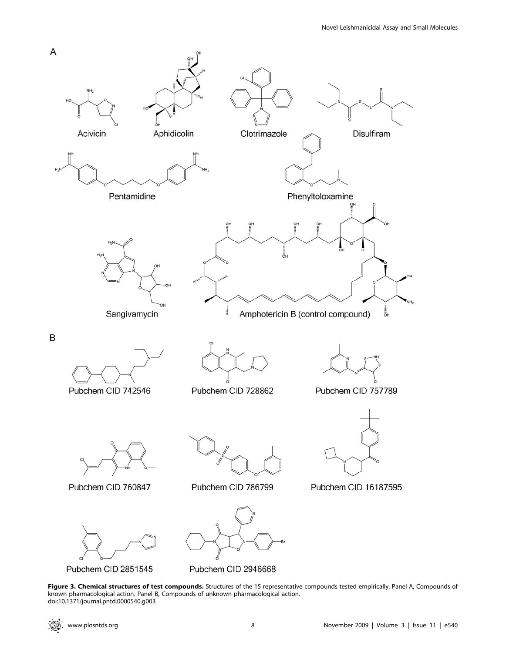

Pubchem CID 2851545

Pubchem CID 2946668

Figure 3. Chemical structures of test compounds. Structures of the 15 representative compounds tested empirically. Panel A, Compounds of known pharmacological action. Panel B, Compounds of unknown pharmacological action. doi:10.1371/journal.pntd.0000540.g003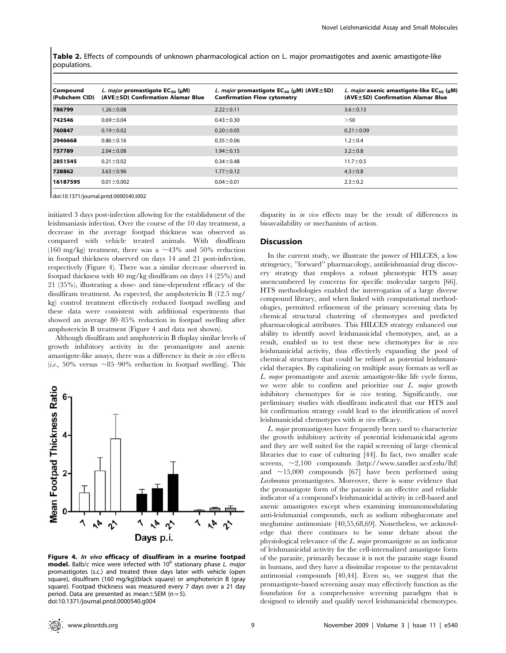Table 2. Effects of compounds of unknown pharmacological action on L. major promastigotes and axenic amastigote-like populations.

| Compound<br>(Pubchem CID) | L. major promastigote $EC_{50}$ (µM)<br>(AVE±SD) Confirmation Alamar Blue | L. major promastigote $EC_{50}$ (uM) (AVE $\pm$ SD)<br><b>Confirmation Flow cytometry</b> | L. major axenic amastigote-like $EC_{50}$ (µM)<br>(AVE±SD) Confirmation Alamar Blue |
|---------------------------|---------------------------------------------------------------------------|-------------------------------------------------------------------------------------------|-------------------------------------------------------------------------------------|
| 786799                    | $1.26 \pm 0.08$                                                           | $2.22 \pm 0.11$                                                                           | $3.6 \pm 0.13$                                                                      |
| 742546                    | $0.69 \pm 0.04$                                                           | $0.43 \pm 0.30$                                                                           | >50                                                                                 |
| 760847                    | $0.19 \pm 0.02$                                                           | $0.20 \pm 0.05$                                                                           | $0.21 \pm 0.09$                                                                     |
| 2946668                   | $0.86 \pm 0.16$                                                           | $0.35 \pm 0.06$                                                                           | $1.2 \pm 0.4$                                                                       |
| 757789                    | $2.04 \pm 0.08$                                                           | $1.94 \pm 0.15$                                                                           | $3.2 \pm 0.8$                                                                       |
| 2851545                   | $0.21 \pm 0.02$                                                           | $0.34 \pm 0.48$                                                                           | $11.7 \pm 0.5$                                                                      |
| 728862                    | $3.63 \pm 0.96$                                                           | $1.77 \pm 0.12$                                                                           | $4.3 \pm 0.8$                                                                       |
| 16187595                  | $0.01 \pm 0.002$                                                          | $0.04 \pm 0.01$                                                                           | $2.3 \pm 0.2$                                                                       |

doi:10.1371/journal.pntd.0000540.t002

initiated 3 days post-infection allowing for the establishment of the leishmaniasis infection. Over the course of the 10 day treatment, a decrease in the average footpad thickness was observed as compared with vehicle treated animals. With disulfiram (160 mg/kg) treatment, there was a  $\sim$ 43% and 50% reduction in footpad thickness observed on days 14 and 21 post-infection, respectively (Figure 4). There was a similar decrease observed in footpad thickness with 40 mg/kg disulfiram on days 14 (25%) and 21 (35%), illustrating a dose- and time-dependent efficacy of the disulfiram treatment. As expected, the amphotericin B (12.5 mg/ kg) control treatment effectively reduced footpad swelling and these data were consistent with additional experiments that showed an average 80–85% reduction in footpad swelling after amphotericin B treatment (Figure 4 and data not shown).

Although disulfiram and amphotericin B display similar levels of growth inhibitory activity in the promastigote and axenic amastigote-like assays, there was a difference in their in vivo effects (*i.e.*, 50% versus  $\sim$ 85–90% reduction in footpad swelling). This



Figure 4. In vivo efficacy of disulfiram in a murine footpad **model.** Balb/c mice were infected with  $10^6$  stationary phase L. major promastigotes (s.c.) and treated three days later with vehicle (open square), disulfiram (160 mg/kg)(black square) or amphotericin B (gray square). Footpad thickness was measured every 7 days over a 21 day period. Data are presented as mean $\pm$ SEM (n = 5). doi:10.1371/journal.pntd.0000540.g004

disparity in in vivo effects may be the result of differences in bioavailability or mechanism of action.

### Discussion

In the current study, we illustrate the power of HILCES, a low stringency, ''forward'' pharmacology, antileishmanial drug discovery strategy that employs a robust phenotypic HTS assay unencumbered by concerns for specific molecular targets [66]. HTS methodologies enabled the interrogation of a large diverse compound library, and when linked with computational methodologies, permitted refinement of the primary screening data by chemical structural clustering of chemotypes and predicted pharmacological attributes. This HILCES strategy enhanced our ability to identify novel leishmanicidal chemotypes, and, as a result, enabled us to test these new chemotypes for in vivo leishmanicidal activity, thus effectively expanding the pool of chemical structures that could be refined as potential leishmanicidal therapies. By capitalizing on multiple assay formats as well as L. major promastigote and axenic amastigote-like life cycle forms, we were able to confirm and prioritize our L. major growth inhibitory chemotypes for *in vivo* testing. Significantly, our preliminary studies with disulfiram indicated that our HTS and hit confirmation strategy could lead to the identification of novel leishmanicidal chemotypes with in vivo efficacy.

L. major promastigotes have frequently been used to characterize the growth inhibitory activity of potential leishmanicidal agents and they are well suited for the rapid screening of large chemical libraries due to ease of culturing [44]. In fact, two smaller scale screens,  $\sim$ 2,100 compounds (http://www.sandler.ucsf.edu/lhf) and  $\sim$ 15,000 compounds [67] have been performed using Leishmania promastigotes. Moreover, there is some evidence that the promastigote form of the parasite is an effective and reliable indicator of a compound's leishmanicidal activity in cell-based and axenic amastigotes except when examining immunomodulating anti-leishmanial compounds, such as sodium stibogluconate and meglumine antimoniate [40,55,68,69]. Nonetheless, we acknowledge that there continues to be some debate about the physiological relevance of the  $L$  major promastigote as an indicator of leishmanicidal activity for the cell-internalized amastigote form of the parasite, primarily because it is not the parasite stage found in humans, and they have a dissimilar response to the pentavalent antimonial compounds [40,44]. Even so, we suggest that the promastigote-based screening assay may effectively function as the foundation for a comprehensive screening paradigm that is designed to identify and qualify novel leishmanicidal chemotypes.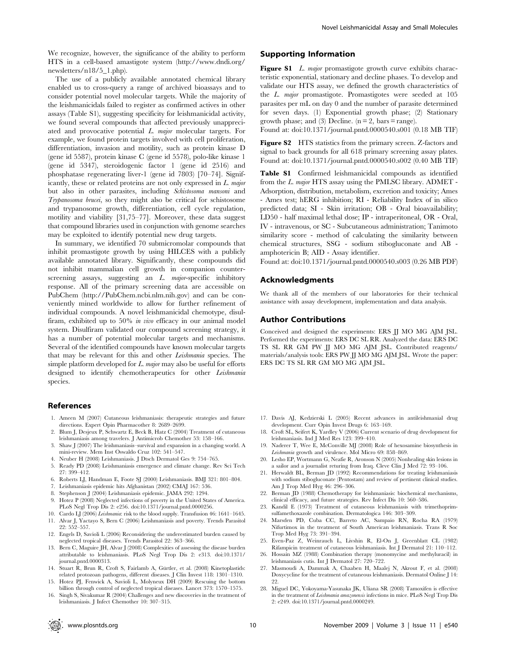We recognize, however, the significance of the ability to perform HTS in a cell-based amastigote system (http://www.dndi.org/ newsletters/n18/5\_1.php).

The use of a publicly available annotated chemical library enabled us to cross-query a range of archived bioassays and to consider potential novel molecular targets. While the majority of the leishmanicidals failed to register as confirmed actives in other assays (Table S1), suggesting specificity for leishmanicidal activity, we found several compounds that affected previously unappreciated and provocative potential L. major molecular targets. For example, we found protein targets involved with cell proliferation, differentiation, invasion and motility, such as protein kinase D (gene id 5587), protein kinase C (gene id 5578), polo-like kinase 1 (gene id 5347), steroidogenic factor 1 (gene id 2516) and phosphatase regenerating liver-1 (gene id 7803) [70–74]. Significantly, these or related proteins are not only expressed in L. major but also in other parasites, including Schistosoma mansoni and Trypanosoma brucei, so they might also be critical for schistosome and trypanosome growth, differentiation, cell cycle regulation, motility and viability [31,75–77]. Moreover, these data suggest that compound libraries used in conjunction with genome searches may be exploited to identify potential new drug targets.

In summary, we identified 70 submicromolar compounds that inhibit promastigote growth by using HILCES with a publicly available annotated library. Significantly, these compounds did not inhibit mammalian cell growth in companion counterscreening assays, suggesting an  $L$ . major-specific inhibitory response. All of the primary screening data are accessible on PubChem (http://PubChem.ncbi.nlm.nih.gov) and can be conveniently mined worldwide to allow for further refinement of individual compounds. A novel leishmanicidal chemotype, disulfiram, exhibited up to 50% in vivo efficacy in our animal model system. Disulfiram validated our compound screening strategy, it has a number of potential molecular targets and mechanisms. Several of the identified compounds have known molecular targets that may be relevant for this and other Leishmania species. The simple platform developed for  $L.$  major may also be useful for efforts designed to identify chemotherapeutics for other Leishmania species.

#### References

- 1. Ameen M (2007) Cutaneous leishmaniasis: therapeutic strategies and future directions. Expert Opin Pharmacother 8: 2689–2699.
- 2. Blum J, Desjeux P, Schwartz E, Beck B, Hatz C (2004) Treatment of cutaneous leishmaniasis among travelers. J Antimicrob Chemother 53: 158–166.
- 3. Shaw J (2007) The leishmaniasis–survival and expansion in a changing world. A mini-review. Mem Inst Oswaldo Cruz 102: 541–547.
- 4. Neuber H (2008) Leishmaniasis. J Dtsch Dermatol Ges 9: 754–765.
- 5. Ready PD (2008) Leishmaniasis emergence and climate change. Rev Sci Tech 27: 399–412.
- 6. Roberts LJ, Handman E, Foote SJ (2000) Leishmaniasis. BMJ 321: 801–804.
- 7. Leishmaniasis epidemic hits Afghanistan (2002) CMAJ 167: 536.
- 8. Stephenson J (2004) Leishmaniasis epidemic. JAMA 292: 1294.
- 9. Hotez P (2008) Neglected infections of poverty in the United States of America. PLoS Negl Trop Dis 2: e256. doi:10.1371/journal.pntd.0000256.
- 10. Cardo LJ (2006) Leishmania: risk to the blood supply. Transfusion 46: 1641–1645. 11. Alvar J, Yactayo S, Bern C (2006) Leishmaniasis and poverty. Trends Parasitol 22: 552–557.
- 12. Engels D, Savioli L (2006) Reconsidering the underestimated burden caused by neglected tropical diseases. Trends Parasitol 22: 363–366.
- 13. Bern C, Maguire JH, Alvar J (2008) Complexities of assessing the disease burden attributable to leishmaniasis. PLoS Negl Trop Dis 2: e313. doi:10.1371/ journal.pntd.0000313.
- 14. Stuart R, Brun R, Croft S, Fairlamb A, Gürtler, et al. (2008) Kinetoplastids: related protozoan pathogens, different diseases. J Clin Invest 118: 1301–1310.
- 15. Hotez PJ, Fenwick A, Savioli L, Molyneux DH (2009) Rescuing the bottom billion through control of neglected tropical diseases. Lancet 373: 1570–1575.
- 16. Singh S, Sivakumar R (2004) Challenges and new discoveries in the treatment of leishmaniasis. J Infect Chemother 10: 307–315.

## Supporting Information

Figure S1 L. major promastigote growth curve exhibits characteristic exponential, stationary and decline phases. To develop and validate our HTS assay, we defined the growth characteristics of the L. major promastigote. Promastigotes were seeded at 105 parasites per mL on day 0 and the number of parasite determined for seven days. (1) Exponential growth phase; (2) Stationary growth phase; and (3) Decline.  $(n = 2, \text{ bars} = \text{range})$ .

Found at: doi:10.1371/journal.pntd.0000540.s001 (0.18 MB TIF)

Figure S2 HTS statistics from the primary screen. Z-factors and signal to back grounds for all 618 primary screening assay plates. Found at: doi:10.1371/journal.pntd.0000540.s002 (0.40 MB TIF)

Table S1 Confirmed leishmanicidal compounds as identified from the L. major HTS assay using the PMLSC library. ADMET - Adsorption, distribution, metabolism, excretion and toxicity; Ames - Ames test; hERG inhibition; RI - Reliability Index of in silico predicted data; SI - Skin irritation; OB - Oral bioavailability; LD50 - half maximal lethal dose; IP - intraperitoneal, OR - Oral, IV - intravenous, or SC - Subcutaneous administration; Tanimoto similarity score - method of calculating the similarity between chemical structures, SSG - sodium stibogluconate and AB amphotericin B; AID - Assay identifier.

Found at: doi:10.1371/journal.pntd.0000540.s003 (0.26 MB PDF)

## Acknowledgments

We thank all of the members of our laboratories for their technical assistance with assay development, implementation and data analysis.

#### Author Contributions

Conceived and designed the experiments: ERS JJ MO MG AJM JSL. Performed the experiments: ERS DC SL RR. Analyzed the data: ERS DC TS SL RR GM PW JJ MO MG AJM JSL. Contributed reagents/ materials/analysis tools: ERS PW JJ MO MG AJM JSL. Wrote the paper: ERS DC TS SL RR GM MO MG AJM JSL.

- 17. Davis AJ, Kedzierski L (2005) Recent advances in antileishmanial drug development. Curr Opin Invest Drugs 6: 163–169.
- 18. Croft SL, Seifert K, Yardley V (2006) Current scenario of drug development for leishmaniasis. Ind J Med Res 123: 399–410.
- 19. Naderer T, Wee E, McConville MJ (2008) Role of hexosamine biosynthesis in Leishmania growth and virulence. Mol Micro 69: 858–869.
- 20. Lesho EP, Wortmann G, Neafie R, Aronson N (2005) Nonhealing skin lesions in a sailor and a journalist returing from Iraq. Cleve Clin J Med 72: 93–106.
- 21. Herwaldt BL, Berman JD (1992) Recommendations for treating leishmaniasis with sodium stibogluconate (Pentostam) and review of pertinent clinical studies. Am J Trop Med Hyg 46: 296–306.
- 22. Berman JD (1988) Chemotherapy for leishmaniasis: biochemical mechanisms, clinical efficacy, and future strategies. Rev Infect Dis 10: 560–586.
- 23. Kandil E (1973) Treatment of cutaneous leishmaniasis with trimethoprimsulfamethoxazole combination. Dermatologica 146: 303–309.
- 24. Marsden PD, Cuba CC, Barreto AC, Sampaio RN, Rocha RA (1979) Nifurtimox in the treatment of South American leishmaniasis. Trans R Soc Trop Med Hyg 73: 391–394.
- 25. Even-Paz Z, Weinrauch L, Livshin R, El-On J, Greenblatt CL (1982) Rifampicin treatment of cutaneous leishmaniasis. Int J Dermatol 21: 110–112.
- 26. Hossain MZ (1988) Combination therapy (monomycine and methyluracil) in leishmaniasis cutis. Int J Dermatol 27: 720–722.
- 27. Masmoudi A, Dammak A, Chaaben H, Maalej N, Akrout F, et al. (2008) Doxycycline for the treatment of cutaneous leishmaniasis. Dermatol Online J 14: 22.
- 28. Miguel DC, Yokoyama-Yasunaka JK, Uliana SR (2008) Tamoxifen is effective in the treatment of Leishmania amazonensis infections in mice. PLoS Negl Trop Dis 2: e249. doi:10.1371/journal.pntd.0000249.